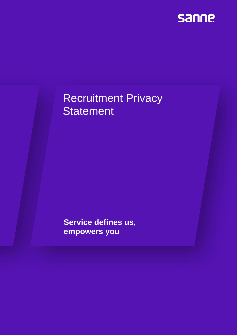

# Recruitment Privacy **Statement**

**Service defines us, empowers you**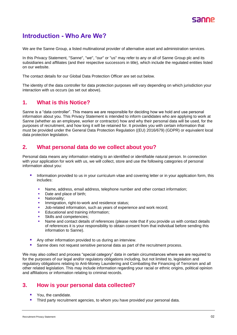

# **Introduction - Who Are We?**

We are the Sanne Group, a listed multinational provider of alternative asset and administration services.

In this Privacy Statement, "Sanne", "we", "our" or "us" may refer to any or all of Sanne Group plc and its subsidiaries and affiliates (and their respective successors in title), which include the regulated entities listed on our [website.](https://www.sannegroup.com/legal-information/)

The contact details for our Global Data Protection Officer are set out below.

The identity of the data controller for data protection purposes will vary depending on which jurisdiction your interaction with us occurs (as set out above).

#### **1. What is this Notice?**

Sanne is a "data controller". This means we are responsible for deciding how we hold and use personal information about you. This Privacy Statement is intended to inform candidates who are applying to work at Sanne (whether as an employee, worker or contractor) how and why their personal data will be used, for the purposes of recruitment, and how long it will be retained for. It provides you with certain information that must be provided under the General Data Protection Regulation ((EU) 2016/679) (GDPR) or equivalent local data protection legislation.

#### **2. What personal data do we collect about you?**

Personal data means any information relating to an identified or identifiable natural person. In connection with your application for work with us, we will collect, store and use the following categories of personal information about you:

- **E** Information provided to us in your curriculum vitae and covering letter or in your application form, this includes:
	- **Name, address, email address, telephone number and other contact information;**
	- Date and place of birth;
	- **■** Nationality;
	- **·** Immigration, right-to-work and residence status;
	- Job-related information, such as years of experience and work record;
	- Educational and training information:
	- Skills and competencies:
	- Name and contact details of references (please note that if you provide us with contact details of references it is your responsibility to obtain consent from that individual before sending this information to Sanne).
- Any other information provided to us during an interview.
- Sanne does not request sensitive personal data as part of the recruitment process.

We may also collect and process "special category" data in certain circumstances where we are required to for the purposes of our legal and/or regulatory obligations including, but not limited to, legislation and regulatory obligations relating to Anti-Money Laundering and Combatting the Financing of Terrorism and all other related legislation. This may include information regarding your racial or ethnic origins, political opinion and affiliations or information relating to criminal records.

### **3. How is your personal data collected?**

- You, the candidate.
- **.** Third party recruitment agencies, to whom you have provided your personal data.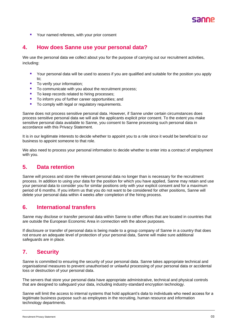

■ Your named referees, with your prior consent

### **4. How does Sanne use your personal data?**

We use the personal data we collect about you for the purpose of carrying out our recruitment activities, including:

- Your personal data will be used to assess if you are qualified and suitable for the position you apply to;
- To verify your information;
- To communicate with you about the recruitment process;
- To keep records related to hiring processes;
- To inform you of further career opportunities; and
- To comply with legal or regulatory requirements.

Sanne does not process sensitive personal data. However, if Sanne under certain circumstances does process sensitive personal data we will ask the applicants explicit prior consent. To the extent you make sensitive personal data available to Sanne, you consent to Sanne processing such personal data in accordance with this Privacy Statement.

It is in our legitimate interests to decide whether to appoint you to a role since it would be beneficial to our business to appoint someone to that role.

We also need to process your personal information to decide whether to enter into a contract of employment with you.

#### **5. Data retention**

Sanne will process and store the relevant personal data no longer than is necessary for the recruitment process. In addition to using your data for the position for which you have applied, Sanne may retain and use your personal data to consider you for similar positions only with your explicit consent and for a maximum period of 6 months. If you inform us that you do not want to be considered for other positions, Sanne will delete your personal data within 4 weeks after completion of the hiring process.

#### **6. International transfers**

Sanne may disclose or transfer personal data within Sanne to other offices that are located in countries that are outside the European Economic Area in connection with the above purposes.

If disclosure or transfer of personal data is being made to a group company of Sanne in a country that does not ensure an adequate level of protection of your personal data, Sanne will make sure additional safeguards are in place.

### **7. Security**

Sanne is committed to ensuring the security of your personal data. Sanne takes appropriate technical and organisational measures to prevent unauthorised or unlawful processing of your personal data or accidental loss or destruction of your personal data.

The servers that store your personal data have appropriate administrative, technical and physical controls that are designed to safeguard your data, including industry-standard encryption technology.

Sanne will limit the access to internal systems that hold applicant's data to individuals who need access for a legitimate business purpose such as employees in the recruiting, human resource and information technology departments.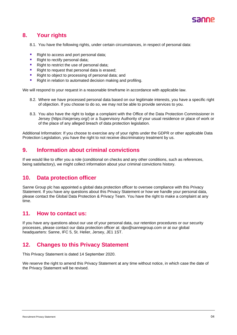

## **8. Your rights**

- 8.1. You have the following rights, under certain circumstances, in respect of personal data:
- Right to access and port personal data;
- Right to rectify personal data;
- Right to restrict the use of personal data;
- Right to request that personal data is erased;
- Right to object to processing of personal data; and
- Right in relation to automated decision making and profiling.

We will respond to your request in a reasonable timeframe in accordance with applicable law.

- 8.2. Where we have processed personal data based on our legitimate interests, you have a specific right of objection. If you choose to do so, we may not be able to provide services to you.
- 8.3. You also have the right to lodge a complaint with the Office of the Data Protection Commissioner in Jersey (https://oicjersey.org/) or a Supervisory Authority of your usual residence or place of work or of the place of any alleged breach of data protection legislation.

Additional Information: If you choose to exercise any of your rights under the GDPR or other applicable Data Protection Legislation, you have the right to not receive discriminatory treatment by us.

## **9. Information about criminal convictions**

If we would like to offer you a role (conditional on checks and any other conditions, such as references, being satisfactory), we might collect information about your criminal convictions history.

### **10. Data protection officer**

Sanne Group plc has appointed a global data protection officer to oversee compliance with this Privacy Statement. If you have any questions about this Privacy Statement or how we handle your personal data, please contact the Global Data Protection & Privacy Team. You have the right to make a complaint at any time.

#### **11. How to contact us:**

If you have any questions about our use of your personal data, our retention procedures or our security processes, please contact our data protection officer at: [dpo@sannegroup.com](mailto:dpo@sannegroup.com) or at our global headquarters: Sanne, IFC 5, St. Helier, Jersey, JE1 1ST.

### **12. Changes to this Privacy Statement**

This Privacy Statement is dated 14 September 2020.

We reserve the right to amend this Privacy Statement at any time without notice, in which case the date of the Privacy Statement will be revised.